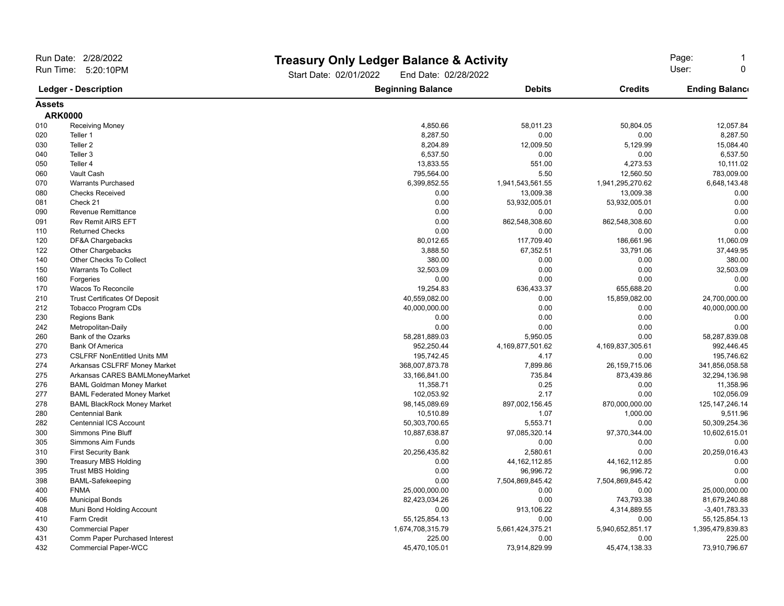| Run Date: 2/28/2022<br>Run Time: 5:20:10PM<br><b>Ledger - Description</b> |                                      | Start Date: 02/01/2022   | <b>Treasury Only Ledger Balance &amp; Activity</b><br>End Date: 02/28/2022 |                      |                       |
|---------------------------------------------------------------------------|--------------------------------------|--------------------------|----------------------------------------------------------------------------|----------------------|-----------------------|
|                                                                           |                                      | <b>Beginning Balance</b> | <b>Debits</b>                                                              | <b>Credits</b>       | <b>Ending Balance</b> |
| <b>Assets</b>                                                             |                                      |                          |                                                                            |                      |                       |
|                                                                           | <b>ARK0000</b>                       |                          |                                                                            |                      |                       |
| 010                                                                       | Receiving Money                      | 4,850.66                 | 58,011.23                                                                  | 50,804.05            | 12,057.84             |
| 020                                                                       | Teller 1                             | 8,287.50                 | 0.00                                                                       | 0.00                 | 8,287.50              |
| 030                                                                       | Teller <sub>2</sub>                  | 8,204.89                 | 12,009.50                                                                  | 5,129.99             | 15,084.40             |
| 040                                                                       | Teller 3                             | 6,537.50                 | 0.00                                                                       | 0.00                 | 6,537.50              |
| 050                                                                       | Teller 4                             | 13,833.55                | 551.00                                                                     | 4,273.53             | 10,111.02             |
| 060                                                                       | Vault Cash                           | 795,564.00               | 5.50                                                                       | 12,560.50            | 783,009.00            |
| 070                                                                       | <b>Warrants Purchased</b>            | 6,399,852.55             | 1,941,543,561.55                                                           | 1,941,295,270.62     | 6,648,143.48          |
| 080                                                                       | <b>Checks Received</b>               | 0.00                     | 13,009.38                                                                  | 13,009.38            | 0.00                  |
| 081                                                                       | Check 21                             | 0.00                     | 53,932,005.01                                                              | 53,932,005.01        | 0.00                  |
| 090                                                                       | <b>Revenue Remittance</b>            | 0.00                     | 0.00                                                                       | 0.00                 | 0.00                  |
| 091                                                                       | <b>Rev Remit AIRS EFT</b>            | 0.00                     | 862,548,308.60                                                             | 862,548,308.60       | 0.00                  |
| 110                                                                       | <b>Returned Checks</b>               | 0.00                     | 0.00                                                                       | 0.00                 | 0.00                  |
| 120                                                                       | DF&A Chargebacks                     | 80,012.65                | 117,709.40                                                                 | 186,661.96           | 11,060.09             |
| 122                                                                       | <b>Other Chargebacks</b>             | 3,888.50                 | 67,352.51                                                                  | 33,791.06            | 37,449.95             |
| 140                                                                       | Other Checks To Collect              | 380.00                   | 0.00                                                                       | 0.00                 | 380.00                |
| 150                                                                       | <b>Warrants To Collect</b>           | 32,503.09                | 0.00                                                                       | 0.00                 | 32,503.09             |
| 160                                                                       | Forgeries                            | 0.00                     | 0.00                                                                       | 0.00                 | 0.00                  |
| 170                                                                       | Wacos To Reconcile                   | 19,254.83                | 636,433.37                                                                 | 655,688.20           | 0.00                  |
| 210                                                                       | <b>Trust Certificates Of Deposit</b> | 40,559,082.00            | 0.00                                                                       | 15,859,082.00        | 24,700,000.00         |
| 212                                                                       | <b>Tobacco Program CDs</b>           | 40,000,000.00            | 0.00                                                                       | 0.00                 | 40,000,000.00         |
| 230                                                                       | <b>Regions Bank</b>                  | 0.00                     | 0.00                                                                       | 0.00                 | 0.00                  |
| 242                                                                       | Metropolitan-Daily                   | 0.00                     | 0.00                                                                       | 0.00                 | 0.00                  |
| 260                                                                       | Bank of the Ozarks                   | 58,281,889.03            | 5,950.05                                                                   | 0.00                 | 58,287,839.08         |
| 270                                                                       | <b>Bank Of America</b>               | 952,250.44               | 4,169,877,501.62                                                           | 4, 169, 837, 305. 61 | 992,446.45            |
| 273                                                                       | <b>CSLFRF NonEntitled Units MM</b>   | 195,742.45               | 4.17                                                                       | 0.00                 | 195,746.62            |
| 274                                                                       | Arkansas CSLFRF Money Market         | 368,007,873.78           | 7.899.86                                                                   | 26,159,715.06        | 341,856,058.58        |
| 275                                                                       | Arkansas CARES BAMLMoneyMarket       | 33,166,841.00            | 735.84                                                                     | 873,439.86           | 32,294,136.98         |
| 276                                                                       | <b>BAML Goldman Money Market</b>     | 11,358.71                | 0.25                                                                       | 0.00                 | 11,358.96             |
| 277                                                                       | <b>BAML Federated Money Market</b>   | 102,053.92               | 2.17                                                                       | 0.00                 | 102,056.09            |
| 278                                                                       | <b>BAML BlackRock Money Market</b>   | 98,145,089.69            | 897,002,156.45                                                             | 870,000,000.00       | 125, 147, 246. 14     |
| 280                                                                       | <b>Centennial Bank</b>               | 10,510.89                | 1.07                                                                       | 1,000.00             | 9,511.96              |
| 282                                                                       | <b>Centennial ICS Account</b>        | 50,303,700.65            | 5,553.71                                                                   | 0.00                 | 50,309,254.36         |
| 300                                                                       | <b>Simmons Pine Bluff</b>            | 10,887,638.87            | 97,085,320.14                                                              | 97,370,344.00        | 10,602,615.01         |
| 305                                                                       | Simmons Aim Funds                    | 0.00                     | 0.00                                                                       | 0.00                 | 0.00                  |
| 310                                                                       | <b>First Security Bank</b>           | 20,256,435.82            | 2,580.61                                                                   | 0.00                 | 20,259,016.43         |
| 390                                                                       | <b>Treasury MBS Holding</b>          | 0.00                     | 44, 162, 112.85                                                            | 44, 162, 112.85      | 0.00                  |
| 395                                                                       | <b>Trust MBS Holding</b>             | 0.00                     | 96,996.72                                                                  | 96,996.72            | 0.00                  |
| 398                                                                       | <b>BAML-Safekeeping</b>              | 0.00                     | 7,504,869,845.42                                                           | 7,504,869,845.42     | 0.00                  |
| 400                                                                       | <b>FNMA</b>                          | 25,000,000.00            | 0.00                                                                       | 0.00                 | 25,000,000.00         |
| 406                                                                       | <b>Municipal Bonds</b>               | 82,423,034.26            | 0.00                                                                       | 743,793.38           | 81,679,240.88         |
| 408                                                                       | Muni Bond Holding Account            | 0.00                     | 913.106.22                                                                 | 4,314,889.55         | $-3,401,783.33$       |
| 410                                                                       | Farm Credit                          | 55, 125, 854. 13         | 0.00                                                                       | 0.00                 | 55, 125, 854. 13      |
| 430                                                                       | <b>Commercial Paper</b>              | 1,674,708,315.79         | 5,661,424,375.21                                                           | 5,940,652,851.17     | 1,395,479,839.83      |
| 431                                                                       | Comm Paper Purchased Interest        | 225.00                   | 0.00                                                                       | 0.00                 | 225.00                |
| 432                                                                       | <b>Commercial Paper-WCC</b>          | 45,470,105.01            | 73,914,829.99                                                              | 45,474,138.33        | 73,910,796.67         |